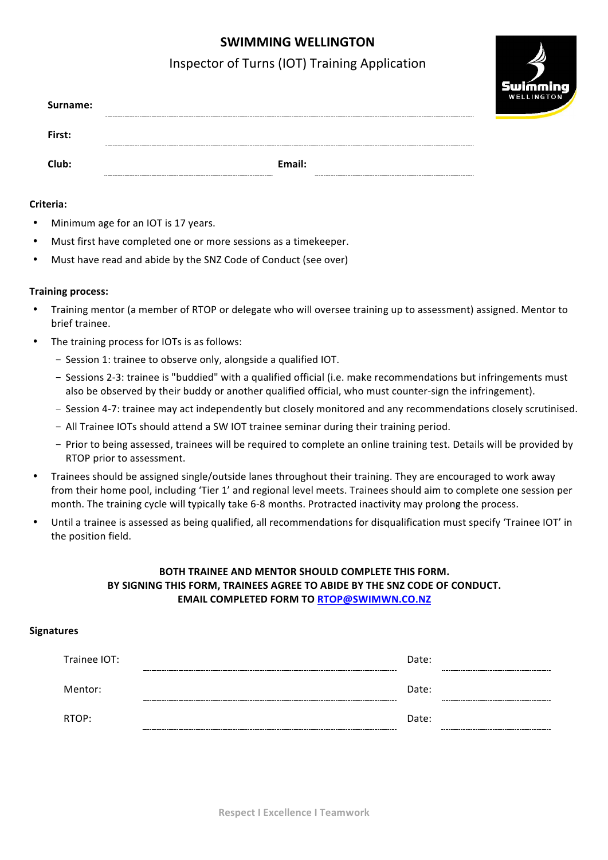# **SWIMMING WELLINGTON**

## Inspector of Turns (IOT) Training Application

swimmin **NELLINGT** 

| Surname: | -------------        |        |                            |
|----------|----------------------|--------|----------------------------|
| First:   | -------------------- |        | -------------------------- |
| Club:    |                      | Email: |                            |

#### **Criteria:**

- Minimum age for an IOT is 17 years.
- Must first have completed one or more sessions as a timekeeper.
- Must have read and abide by the SNZ Code of Conduct (see over)

#### **Training process:**

- Training mentor (a member of RTOP or delegate who will oversee training up to assessment) assigned. Mentor to brief trainee.
- The training process for IOTs is as follows:
	- Session 1: trainee to observe only, alongside a qualified IOT.
	- Sessions 2-3: trainee is "buddied" with a qualified official (i.e. make recommendations but infringements must also be observed by their buddy or another qualified official, who must counter-sign the infringement).
	- Session 4-7: trainee may act independently but closely monitored and any recommendations closely scrutinised.
	- All Trainee IOTs should attend a SW IOT trainee seminar during their training period.
	- Prior to being assessed, trainees will be required to complete an online training test. Details will be provided by RTOP prior to assessment.
- Trainees should be assigned single/outside lanes throughout their training. They are encouraged to work away from their home pool, including 'Tier 1' and regional level meets. Trainees should aim to complete one session per month. The training cycle will typically take 6-8 months. Protracted inactivity may prolong the process.
- Until a trainee is assessed as being qualified, all recommendations for disqualification must specify 'Trainee IOT' in the position field.

### **BOTH TRAINEE AND MENTOR SHOULD COMPLETE THIS FORM.** BY SIGNING THIS FORM, TRAINEES AGREE TO ABIDE BY THE SNZ CODE OF CONDUCT. **EMAIL COMPLETED FORM TO RTOP@SWIMWN.CO.NZ**

#### **Signatures**

| Trainee IOT: | ------------ | Date: | -------------------------------------- |
|--------------|--------------|-------|----------------------------------------|
| Mentor:      |              | Date: |                                        |
| RTOP:        |              | Date: | ------                                 |